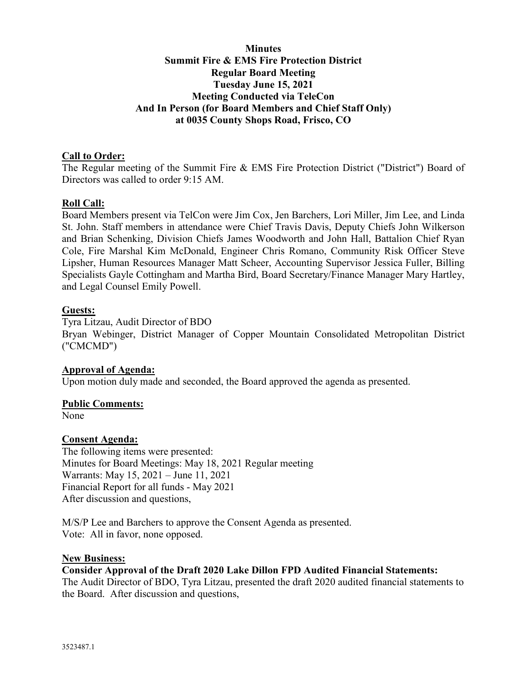# **Minutes Summit Fire & EMS Fire Protection District Regular Board Meeting Tuesday June 15, 2021 Meeting Conducted via TeleCon And In Person (for Board Members and Chief Staff Only) at 0035 County Shops Road, Frisco, CO**

### **Call to Order:**

The Regular meeting of the Summit Fire & EMS Fire Protection District ("District") Board of Directors was called to order 9:15 AM.

### **Roll Call:**

Board Members present via TelCon were Jim Cox, Jen Barchers, Lori Miller, Jim Lee, and Linda St. John. Staff members in attendance were Chief Travis Davis, Deputy Chiefs John Wilkerson and Brian Schenking, Division Chiefs James Woodworth and John Hall, Battalion Chief Ryan Cole, Fire Marshal Kim McDonald, Engineer Chris Romano, Community Risk Officer Steve Lipsher, Human Resources Manager Matt Scheer, Accounting Supervisor Jessica Fuller, Billing Specialists Gayle Cottingham and Martha Bird, Board Secretary/Finance Manager Mary Hartley, and Legal Counsel Emily Powell.

### **Guests:**

Tyra Litzau, Audit Director of BDO Bryan Webinger, District Manager of Copper Mountain Consolidated Metropolitan District ("CMCMD")

### **Approval of Agenda:**

Upon motion duly made and seconded, the Board approved the agenda as presented.

### **Public Comments:**

None

### **Consent Agenda:**

The following items were presented: Minutes for Board Meetings: May 18, 2021 Regular meeting Warrants: May 15, 2021 – June 11, 2021 Financial Report for all funds - May 2021 After discussion and questions,

M/S/P Lee and Barchers to approve the Consent Agenda as presented. Vote: All in favor, none opposed.

## **New Business:**

#### **Consider Approval of the Draft 2020 Lake Dillon FPD Audited Financial Statements:**

The Audit Director of BDO, Tyra Litzau, presented the draft 2020 audited financial statements to the Board. After discussion and questions,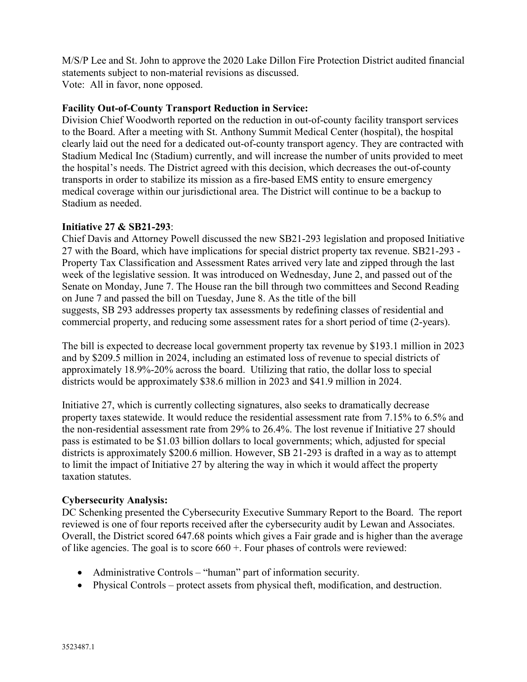M/S/P Lee and St. John to approve the 2020 Lake Dillon Fire Protection District audited financial statements subject to non-material revisions as discussed. Vote: All in favor, none opposed.

### **Facility Out-of-County Transport Reduction in Service:**

Division Chief Woodworth reported on the reduction in out-of-county facility transport services to the Board. After a meeting with St. Anthony Summit Medical Center (hospital), the hospital clearly laid out the need for a dedicated out-of-county transport agency. They are contracted with Stadium Medical Inc (Stadium) currently, and will increase the number of units provided to meet the hospital's needs. The District agreed with this decision, which decreases the out-of-county transports in order to stabilize its mission as a fire-based EMS entity to ensure emergency medical coverage within our jurisdictional area. The District will continue to be a backup to Stadium as needed.

### **Initiative 27 & SB21-293**:

Chief Davis and Attorney Powell discussed the new SB21-293 legislation and proposed Initiative 27 with the Board, which have implications for special district property tax revenue. SB21-293 - Property Tax Classification and Assessment Rates arrived very late and zipped through the last week of the legislative session. It was introduced on Wednesday, June 2, and passed out of the Senate on Monday, June 7. The House ran the bill through two committees and Second Reading on June 7 and passed the bill on Tuesday, June 8. As the title of the bill suggests, SB 293 addresses property tax assessments by redefining classes of residential and commercial property, and reducing some assessment rates for a short period of time (2-years).

The bill is expected to decrease local government property tax revenue by \$193.1 million in 2023 and by \$209.5 million in 2024, including an estimated loss of revenue to special districts of approximately 18.9%-20% across the board. Utilizing that ratio, the dollar loss to special districts would be approximately \$38.6 million in 2023 and \$41.9 million in 2024.

Initiative 27, which is currently collecting signatures, also seeks to dramatically decrease property taxes statewide. It would reduce the residential assessment rate from 7.15% to 6.5% and the non-residential assessment rate from 29% to 26.4%. The lost revenue if Initiative 27 should pass is estimated to be \$1.03 billion dollars to local governments; which, adjusted for special districts is approximately \$200.6 million. However, SB 21-293 is drafted in a way as to attempt to limit the impact of Initiative 27 by altering the way in which it would affect the property taxation statutes.

### **Cybersecurity Analysis:**

DC Schenking presented the Cybersecurity Executive Summary Report to the Board. The report reviewed is one of four reports received after the cybersecurity audit by Lewan and Associates. Overall, the District scored 647.68 points which gives a Fair grade and is higher than the average of like agencies. The goal is to score  $660 +$ . Four phases of controls were reviewed:

- Administrative Controls "human" part of information security.
- Physical Controls protect assets from physical theft, modification, and destruction.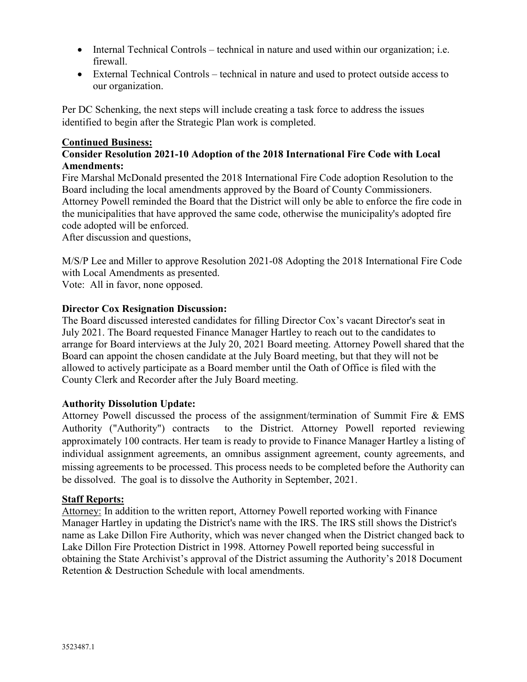- Internal Technical Controls technical in nature and used within our organization; i.e. firewall.
- External Technical Controls technical in nature and used to protect outside access to our organization.

Per DC Schenking, the next steps will include creating a task force to address the issues identified to begin after the Strategic Plan work is completed.

# **Continued Business:**

# **Consider Resolution 2021-10 Adoption of the 2018 International Fire Code with Local Amendments:**

Fire Marshal McDonald presented the 2018 International Fire Code adoption Resolution to the Board including the local amendments approved by the Board of County Commissioners. Attorney Powell reminded the Board that the District will only be able to enforce the fire code in the municipalities that have approved the same code, otherwise the municipality's adopted fire code adopted will be enforced.

After discussion and questions,

M/S/P Lee and Miller to approve Resolution 2021-08 Adopting the 2018 International Fire Code with Local Amendments as presented.

Vote: All in favor, none opposed.

# **Director Cox Resignation Discussion:**

The Board discussed interested candidates for filling Director Cox's vacant Director's seat in July 2021. The Board requested Finance Manager Hartley to reach out to the candidates to arrange for Board interviews at the July 20, 2021 Board meeting. Attorney Powell shared that the Board can appoint the chosen candidate at the July Board meeting, but that they will not be allowed to actively participate as a Board member until the Oath of Office is filed with the County Clerk and Recorder after the July Board meeting.

# **Authority Dissolution Update:**

Attorney Powell discussed the process of the assignment/termination of Summit Fire & EMS Authority ("Authority") contracts to the District. Attorney Powell reported reviewing approximately 100 contracts. Her team is ready to provide to Finance Manager Hartley a listing of individual assignment agreements, an omnibus assignment agreement, county agreements, and missing agreements to be processed. This process needs to be completed before the Authority can be dissolved. The goal is to dissolve the Authority in September, 2021.

### **Staff Reports:**

Attorney: In addition to the written report, Attorney Powell reported working with Finance Manager Hartley in updating the District's name with the IRS. The IRS still shows the District's name as Lake Dillon Fire Authority, which was never changed when the District changed back to Lake Dillon Fire Protection District in 1998. Attorney Powell reported being successful in obtaining the State Archivist's approval of the District assuming the Authority's 2018 Document Retention & Destruction Schedule with local amendments.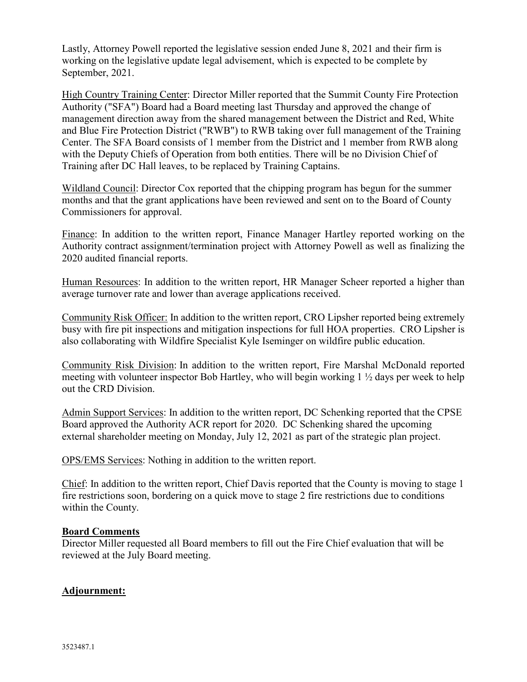Lastly, Attorney Powell reported the legislative session ended June 8, 2021 and their firm is working on the legislative update legal advisement, which is expected to be complete by September, 2021.

High Country Training Center: Director Miller reported that the Summit County Fire Protection Authority ("SFA") Board had a Board meeting last Thursday and approved the change of management direction away from the shared management between the District and Red, White and Blue Fire Protection District ("RWB") to RWB taking over full management of the Training Center. The SFA Board consists of 1 member from the District and 1 member from RWB along with the Deputy Chiefs of Operation from both entities. There will be no Division Chief of Training after DC Hall leaves, to be replaced by Training Captains.

Wildland Council: Director Cox reported that the chipping program has begun for the summer months and that the grant applications have been reviewed and sent on to the Board of County Commissioners for approval.

Finance: In addition to the written report, Finance Manager Hartley reported working on the Authority contract assignment/termination project with Attorney Powell as well as finalizing the 2020 audited financial reports.

Human Resources: In addition to the written report, HR Manager Scheer reported a higher than average turnover rate and lower than average applications received.

Community Risk Officer: In addition to the written report, CRO Lipsher reported being extremely busy with fire pit inspections and mitigation inspections for full HOA properties. CRO Lipsher is also collaborating with Wildfire Specialist Kyle Iseminger on wildfire public education.

Community Risk Division: In addition to the written report, Fire Marshal McDonald reported meeting with volunteer inspector Bob Hartley, who will begin working 1 ½ days per week to help out the CRD Division.

Admin Support Services: In addition to the written report, DC Schenking reported that the CPSE Board approved the Authority ACR report for 2020. DC Schenking shared the upcoming external shareholder meeting on Monday, July 12, 2021 as part of the strategic plan project.

OPS/EMS Services: Nothing in addition to the written report.

Chief: In addition to the written report, Chief Davis reported that the County is moving to stage 1 fire restrictions soon, bordering on a quick move to stage 2 fire restrictions due to conditions within the County.

### **Board Comments**

Director Miller requested all Board members to fill out the Fire Chief evaluation that will be reviewed at the July Board meeting.

### **Adjournment:**